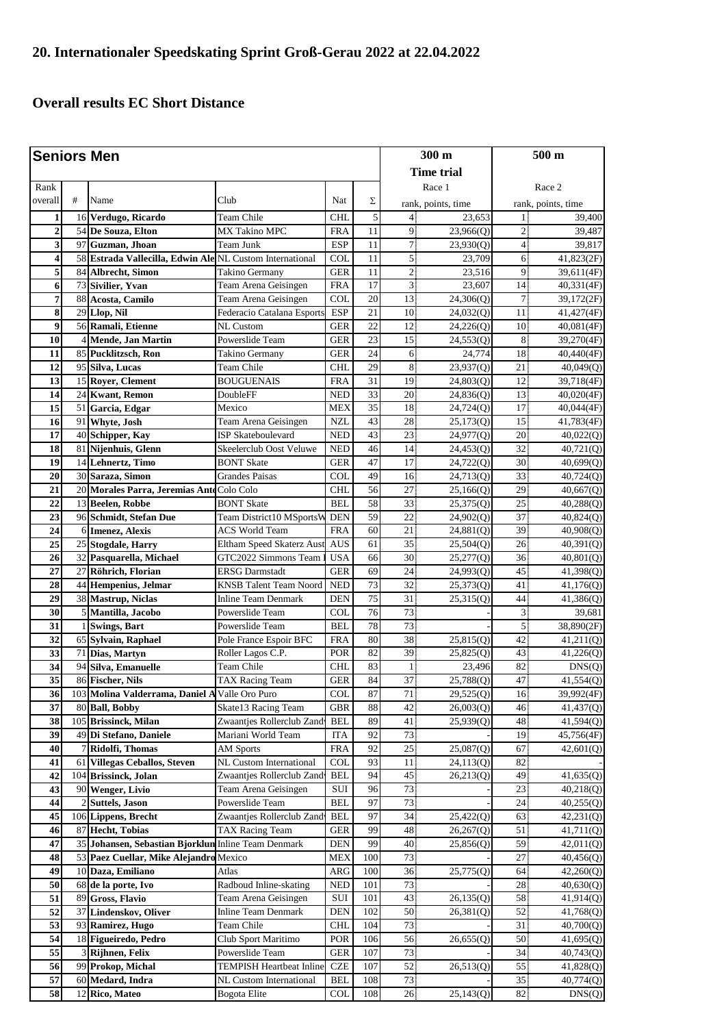## **Overall results EC Short Distance**

| <b>Seniors Men</b>      |                |                                                       |                                 |                           |                 | $300 \text{ m}$ |                                    | $500 \text{ m}$      |                                    |
|-------------------------|----------------|-------------------------------------------------------|---------------------------------|---------------------------|-----------------|-----------------|------------------------------------|----------------------|------------------------------------|
|                         |                |                                                       |                                 |                           |                 |                 | <b>Time trial</b>                  |                      |                                    |
| Rank                    |                |                                                       |                                 |                           |                 |                 | Race 1                             |                      | Race 2                             |
| overall                 | #              | Name                                                  | Club                            | Nat                       | Σ               |                 |                                    |                      |                                    |
|                         |                |                                                       |                                 |                           |                 |                 | rank, points, time                 |                      | rank, points, time                 |
| 1                       |                | 16 Verdugo, Ricardo                                   | Team Chile                      | <b>CHL</b>                | 5               | $\overline{4}$  | 23,653                             | 11                   | 39,400                             |
| $\overline{2}$          |                | 54 De Souza, Elton                                    | <b>MX Takino MPC</b>            | <b>FRA</b>                | 11              | 9 <sup>1</sup>  | 23,966(Q)                          | 2 <sup>1</sup>       | 39,487                             |
| 3                       | 97             | Guzman, Jhoan                                         | Team Junk                       | <b>ESP</b>                | 11              | 7               | 23,930(Q)                          | $\overline{4}$       | 39,817                             |
| $\overline{\mathbf{4}}$ | 58             | Estrada Vallecilla, Edwin Ale NL Custom International |                                 | COL                       | 11              | 5 <sup>1</sup>  | 23,709                             | 6                    | 41,823(2F)                         |
| 5                       | 84             | Albrecht, Simon                                       | Takino Germany                  | <b>GER</b>                | 11              | 2 <sub>1</sub>  | 23,516                             | 9                    | 39,611(4F)                         |
| 6                       | 73             | Sivilier, Yvan                                        | Team Arena Geisingen            | <b>FRA</b>                | 17<br>20        | 3 <sup>1</sup>  | 23,607                             | 14                   | 40,331(4F)                         |
| 7<br>8                  | 88             | Acosta, Camilo<br>29 Llop, Nil                        | Team Arena Geisingen            | <b>COL</b>                | 21              | 13<br>10        | 24,306(Q)                          | 7 <sup>1</sup><br>11 | 39,172(2F)                         |
| 9                       |                |                                                       | Federacio Catalana Esports      | <b>ESP</b>                |                 |                 | 24,032(Q)                          |                      | 41,427(4F)                         |
| 10                      |                | 56 Ramali, Etienne                                    | NL Custom                       | <b>GER</b>                | 22<br>23        | 12<br>15        | 24,226(Q)                          | 10<br>8 <sup>1</sup> | 40,081(4F)                         |
|                         |                | Mende, Jan Martin<br>85 Pucklitzsch, Ron              | Powerslide Team                 | <b>GER</b><br><b>GER</b>  | 24              | 6               | 24,553(Q)                          | 18                   | 39,270(4F)                         |
| 11<br>12                |                | 95 Silva, Lucas                                       | Takino Germany<br>Team Chile    | <b>CHL</b>                | 29              | 8               | 24,774                             | 21                   | 40,440(4F)                         |
| 13                      |                | 15 Royer, Clement                                     |                                 | <b>FRA</b>                | 31              | 19              | 23,937(Q)                          | 12                   | 40,049(Q)                          |
| 14                      | 24             | <b>Kwant, Remon</b>                                   | BOUGUENAIS<br>DoubleFF          | <b>NED</b>                | 33              | 20              | 24,803(Q)                          | 13                   | 39,718(4F)                         |
| 15                      | 51             | Garcia, Edgar                                         | Mexico                          | <b>MEX</b>                | 35              | 18              | 24,836(Q)<br>24,724 <sub>(Q)</sub> | 17                   | 40,020(4F)<br>40,044(4F)           |
| 16                      | 91             | Whyte, Josh                                           | Team Arena Geisingen            | <b>NZL</b>                | 43              | 28              | 25,173(Q)                          | 15                   | 41,783(4F)                         |
| 17                      |                | 40 Schipper, Kay                                      | ISP Skateboulevard              | <b>NED</b>                | 43              | 23              | 24,977(Q)                          | 20                   | 40,022(Q)                          |
| 18                      | 81             | Nijenhuis, Glenn                                      | Skeelerclub Oost Veluwe         | <b>NED</b>                | 46              | 14              |                                    | 32                   | 40,721(Q)                          |
| 19                      |                | 14 Lehnertz, Timo                                     | <b>BONT Skate</b>               | <b>GER</b>                | 47              | 17              | 24,453(Q)<br>24,722(Q)             | 30 <sup>1</sup>      | 40,699(Q)                          |
| 20                      |                | 30 Saraza, Simon                                      | Grandes Paisas                  | <b>COL</b>                | 49              | 16              | 24,713(Q)                          | 33                   |                                    |
| 21                      |                | 20 Morales Parra, Jeremias Anto Colo Colo             |                                 | <b>CHL</b>                | 56              | 27              | 25,166(Q)                          | 29                   | 40,724 <sub>(Q)</sub><br>40,667(Q) |
| 22                      |                | 13 Beelen, Robbe                                      | <b>BONT Skate</b>               | <b>BEL</b>                | 58              | 33              | 25,375(Q)                          | 25.                  |                                    |
| 23                      |                | 96 Schmidt, Stefan Due                                | Team District10 MSportsW        | <b>DEN</b>                | 59              | 22              | 24,902(Q)                          | 37                   | 40,288(Q)<br>40,824(Q)             |
| 24                      |                | 6 Imenez, Alexis                                      | <b>ACS World Team</b>           | <b>FRA</b>                | 60              | 21              | 24,881(Q)                          | 39                   | 40,908(Q)                          |
| 25                      |                | 25 Stogdale, Harry                                    | Eltham Speed Skaterz Aus        | <b>AUS</b>                | 61              | 35              | 25,504(Q)                          | 26                   | 40,391(Q)                          |
| 26                      | 32             | Pasquarella, Michael                                  | GTC2022 Simmons Team            | <b>USA</b>                | 66              | 30              | 25,277(Q)                          | 36                   | 40,801(Q)                          |
| 27                      | 27             | Röhrich, Florian                                      | ERSG Darmstadt                  | <b>GER</b>                | 69              | 24              | 24,993(Q)                          | 45                   | 41,398(Q)                          |
| 28                      | 44             | Hempenius, Jelmar                                     | <b>KNSB Talent Team Noord</b>   | <b>NED</b>                | $\overline{73}$ | 32              | 25,373(Q)                          | 41                   | 41,176(Q)                          |
| 29                      |                | 38 Mastrup, Niclas                                    | Inline Team Denmark             | <b>DEN</b>                | 75              | 31              | 25,315(Q)                          | 44.                  | 41,386(Q)                          |
| 30                      | 5              | Mantilla, Jacobo                                      | Powerslide Team                 | <b>COL</b>                | 76              | 73              |                                    | 3 <sup>1</sup>       | 39,681                             |
| 31                      | 1              | <b>Swings</b> , Bart                                  | Powerslide Team                 | <b>BEL</b>                | 78              | 73              |                                    | 5 <sup>1</sup>       | 38,890(2F)                         |
| 32                      |                | 65 Sylvain, Raphael                                   | Pole France Espoir BFC          | <b>FRA</b>                | 80              | 38              | 25,815(Q)                          | 42                   | 41,211(Q)                          |
| 33                      | 71             | Dias, Martyn                                          | Roller Lagos C.P.               | POR                       | 82              | 39              | 25,825(Q)                          | 43                   | 41,226(Q)                          |
| 34                      | 94             | Silva, Emanuelle                                      | Team Chile                      | CHL                       | 83              | 1               | 23,496                             | 82                   | DNS(Q)                             |
| 35                      |                | 86 Fischer, Nils                                      | TAX Racing Team                 | GER                       | 84              | 37              | 25,788(Q)                          | 47                   | 41,554(Q)                          |
| $\overline{36}$         |                | 103 Molina Valderrama, Daniel A Valle Oro Puro        |                                 | $\ensuremath{\text{COL}}$ | 87              | 71              | 29,525(Q)                          | 16                   | 39,992(4F)                         |
| 37                      | 80             | <b>Ball, Bobby</b>                                    | Skate13 Racing Team             | <b>GBR</b>                | 88              | 42.             | 26,003(Q)                          | 46                   | 41,437(Q)                          |
| 38                      | 105            | <b>Brissinck, Milan</b>                               | Zwaantjes Rollerclub Zand       | BEL                       | 89              | 41.             | 25,939(Q)                          | 48                   | 41,594(Q)                          |
| 39                      | 49             | Di Stefano, Daniele                                   | Mariani World Team              | <b>ITA</b>                | 92              | 73              |                                    | 19                   | 45,756(4F)                         |
| 40                      |                | Ridolfi, Thomas                                       | <b>AM Sports</b>                | <b>FRA</b>                | 92              | 25              | 25,087(Q)                          | 67                   | 42,601(Q)                          |
| 41                      | 61             | <b>Villegas Ceballos, Steven</b>                      | NL Custom International         | <b>COL</b>                | 93              | 11 <sup>1</sup> | 24,113(Q)                          | 82                   |                                    |
| 42                      | 104            | <b>Brissinck</b> , Jolan                              | Zwaantjes Rollerclub Zand       | BEL                       | 94              | 45              | 26,213(Q)                          | 49                   | 41,635(Q)                          |
| 43                      |                | 90 Wenger, Livio                                      | Team Arena Geisingen            | SUI                       | 96              | 73              |                                    | 23                   | 40,218(Q)                          |
| 44                      | $\overline{2}$ | <b>Suttels</b> , Jason                                | Powerslide Team                 | BEL                       | 97              | 73              |                                    | 24                   | 40,255(Q)                          |
| 45                      |                | 106 Lippens, Brecht                                   | Zwaantjes Rollerclub Zand       | BEL                       | 97              | 34              | 25,422(Q)                          | 63                   | 42,231(Q)                          |
| 46                      |                | 87 Hecht, Tobias                                      | <b>TAX Racing Team</b>          | <b>GER</b>                | 99              | 48              | 26,267(Q)                          | 51                   | 41,711(Q)                          |
| 47                      | 35             | Johansen, Sebastian Bjorklun Inline Team Denmark      |                                 | <b>DEN</b>                | 99              | 40              | 25,856(Q)                          | 59                   | 42,011(Q)                          |
| 48                      | 53             | Paez Cuellar, Mike Alejandro                          | Mexico                          | <b>MEX</b>                | 100             | 73              |                                    | 27                   | 40,456(Q)                          |
| 49                      |                | 10 Daza, Emiliano                                     | Atlas                           | ARG                       | 100             | 36 <sup>7</sup> | 25,775(Q)                          | 64                   | 42,260(Q)                          |
| 50                      |                | 68 de la porte, Ivo                                   | Radboud Inline-skating          | <b>NED</b>                | 101             | 73              |                                    | 28                   | 40,630(Q)                          |
| 51                      | 89             | <b>Gross, Flavio</b>                                  | Team Arena Geisingen            | SUI                       | 101             | 43              | 26,135(Q)                          | 58                   | 41,914(Q)                          |
| 52                      |                | 37 Lindenskov, Oliver                                 | <b>Inline Team Denmark</b>      | <b>DEN</b>                | 102             | 50              | 26,381(Q)                          | 52                   | 41,768(Q)                          |
| 53                      |                | 93 Ramirez, Hugo                                      | Team Chile                      | <b>CHL</b>                | 104             | 73              |                                    | 31                   | 40,700(Q)                          |
| 54                      |                | 18 Figueiredo, Pedro                                  | Club Sport Maritimo             | POR                       | 106             | 56              | 26,655(Q)                          | 50                   | 41,695(Q)                          |
| 55                      | 3              | Rijhnen, Felix                                        | Powerslide Team                 | <b>GER</b>                | 107             | 73              |                                    | 34                   | 40,743(Q)                          |
| 56                      | 99             | Prokop, Michal                                        | <b>TEMPISH Heartbeat Inline</b> | <b>CZE</b>                | 107             | 52              | 26,513(Q)                          | 55                   | 41,828(Q)                          |
| $\overline{57}$         |                | 60 Medard, Indra                                      | NL Custom International         | BEL                       | 108             | 73              |                                    | 35                   | 40,774(Q)                          |
| 58                      |                | 12 Rico, Mateo                                        | Bogota Elite                    | <b>COL</b>                | 108             | 26              | 25,143(Q)                          | $82\,$               | DNS(Q)                             |